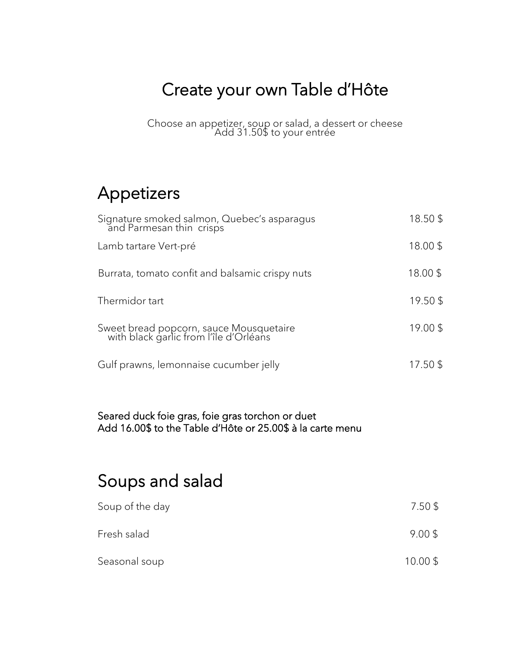## Create your own Table d'Hôte

Choose an appetizer, soup or salad, a dessert or cheese Add 31.50\$ to your entrée

### Appetizers

| Signature smoked salmon, Quebec's asparagus<br>and Parmesan thin crisps           | 18.50\$  |
|-----------------------------------------------------------------------------------|----------|
| Lamb tartare Vert-pré                                                             | 18.00\$  |
| Burrata, tomato confit and balsamic crispy nuts                                   | 18.00 \$ |
| Thermidor tart                                                                    | 19.50\$  |
| Sweet bread popcorn, sauce Mousquetaire<br>with black garlic from l'île d'Orléans | 19.00\$  |
| Gulf prawns, lemonnaise cucumber jelly                                            | 17.50 \$ |

#### Seared duck foie gras, foie gras torchon or duet Add 16.00\$ to the Table d'Hôte or 25.00\$ à la carte menu

### Soups and salad

| Soup of the day | $7.50$ \$ |
|-----------------|-----------|
| Fresh salad     | $9.00$ \$ |
| Seasonal soup   | 10.00\$   |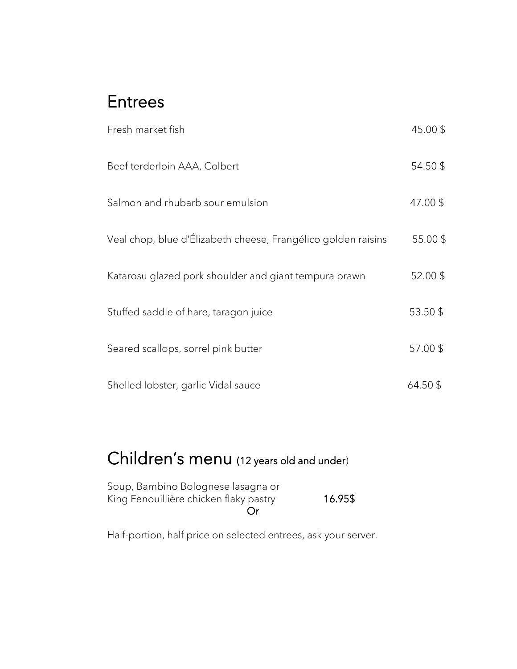#### Entrees

| Fresh market fish                                             | 45.00\$  |
|---------------------------------------------------------------|----------|
| Beef terderloin AAA, Colbert                                  | 54.50\$  |
| Salmon and rhubarb sour emulsion                              | 47.00 \$ |
| Veal chop, blue d'Élizabeth cheese, Frangélico golden raisins | 55.00\$  |
| Katarosu glazed pork shoulder and giant tempura prawn         | 52.00\$  |
| Stuffed saddle of hare, taragon juice                         | 53.50\$  |
| Seared scallops, sorrel pink butter                           | 57.00\$  |
| Shelled lobster, garlic Vidal sauce                           | 64.50 \$ |

# Children's menu (12 years old and under)

| Soup, Bambino Bolognese lasagna or     |         |
|----------------------------------------|---------|
| King Fenouillière chicken flaky pastry | 16.95\$ |
| ( )r                                   |         |

Half-portion, half price on selected entrees, ask your server.